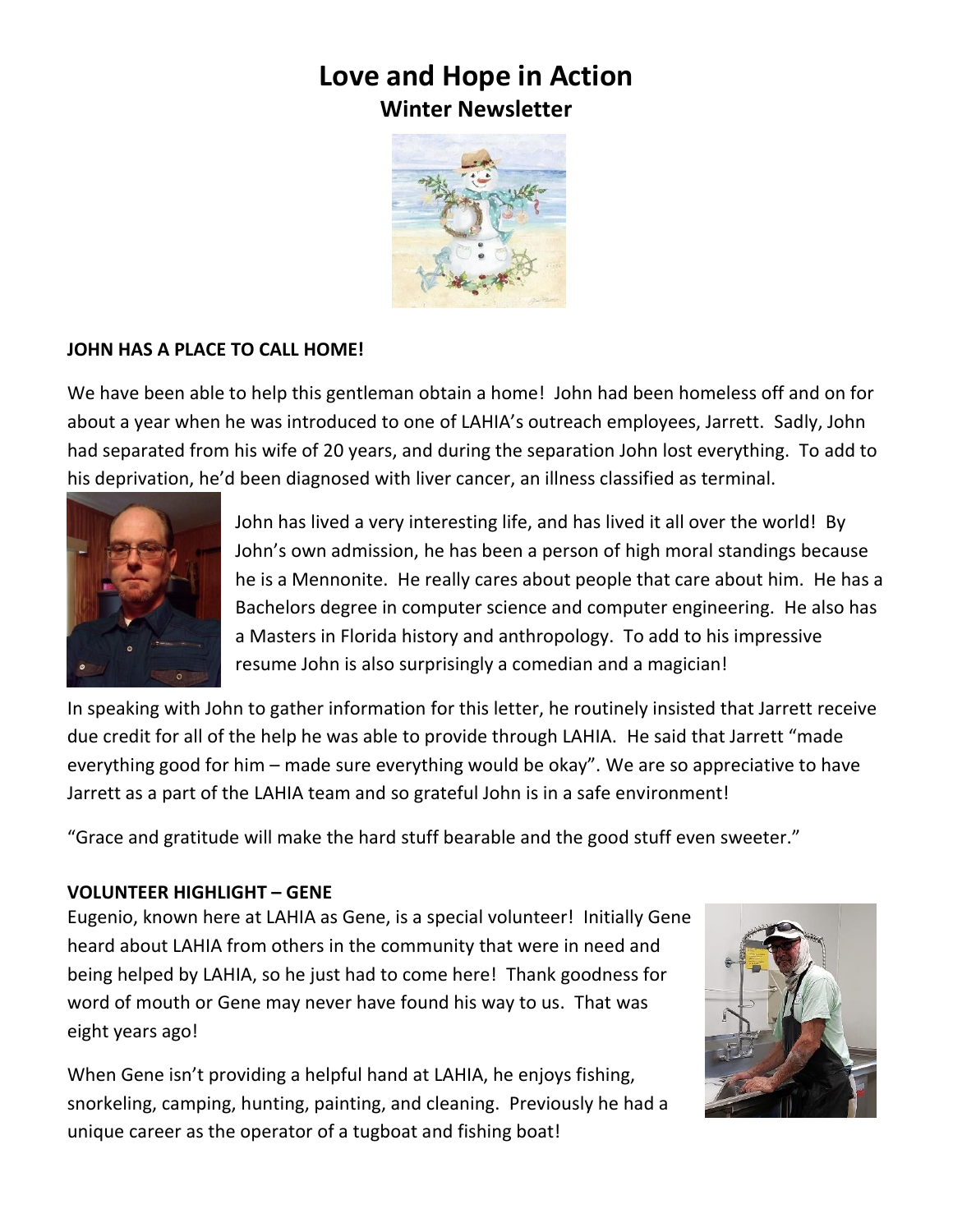## **Love and Hope in Action Winter Newsletter**



## **JOHN HAS A PLACE TO CALL HOME!**

We have been able to help this gentleman obtain a home! John had been homeless off and on for about a year when he was introduced to one of LAHIA's outreach employees, Jarrett. Sadly, John had separated from his wife of 20 years, and during the separation John lost everything. To add to his deprivation, he'd been diagnosed with liver cancer, an illness classified as terminal.



John has lived a very interesting life, and has lived it all over the world! By John's own admission, he has been a person of high moral standings because he is a Mennonite. He really cares about people that care about him. He has a Bachelors degree in computer science and computer engineering. He also has a Masters in Florida history and anthropology. To add to his impressive resume John is also surprisingly a comedian and a magician!

In speaking with John to gather information for this letter, he routinely insisted that Jarrett receive due credit for all of the help he was able to provide through LAHIA. He said that Jarrett "made everything good for him – made sure everything would be okay". We are so appreciative to have Jarrett as a part of the LAHIA team and so grateful John is in a safe environment!

"Grace and gratitude will make the hard stuff bearable and the good stuff even sweeter."

## **VOLUNTEER HIGHLIGHT – GENE**

Eugenio, known here at LAHIA as Gene, is a special volunteer! Initially Gene heard about LAHIA from others in the community that were in need and being helped by LAHIA, so he just had to come here! Thank goodness for word of mouth or Gene may never have found his way to us. That was eight years ago!

When Gene isn't providing a helpful hand at LAHIA, he enjoys fishing, snorkeling, camping, hunting, painting, and cleaning. Previously he had a unique career as the operator of a tugboat and fishing boat!